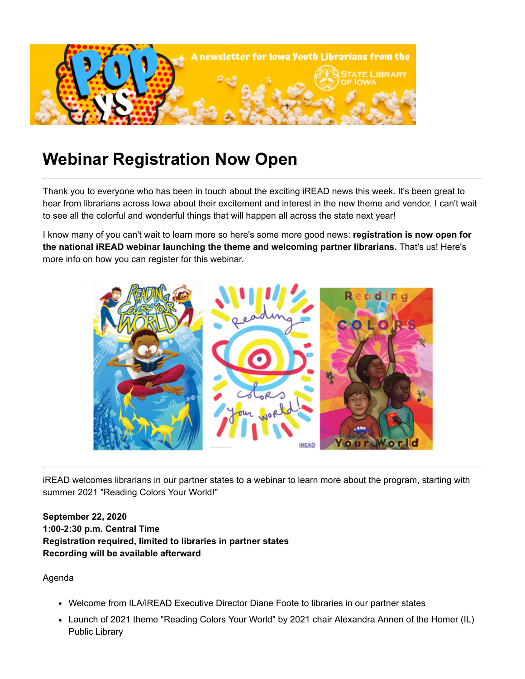

## **Webinar Registration Now Open**

Thank you to everyone who has been in touch about the exciting iREAD news this week. It's been great to hear from librarians across Iowa about their excitement and interest in the new theme and vendor. I can't wait to see all the colorful and wonderful things that will happen all across the state next year!

I know many of you can't wait to learn more so here's some more good news: **registration is now open for the national iREAD webinar launching the theme and welcoming partner librarians.** That's us! Here's more info on how you can register for this webinar.



iREAD welcomes librarians in our partner states to a webinar to learn more about the program, starting with summer 2021 "Reading Colors Your World!"

## **September 22, 2020 1:00-2:30 p.m. Central Time Registration required, limited to libraries in partner states Recording will be available afterward**

Agenda

- Welcome from ILA/iREAD Executive Director Diane Foote to libraries in our partner states
- Launch of 2021 theme "Reading Colors Your World" by 2021 chair Alexandra Annen of the Homer (IL) Public Library